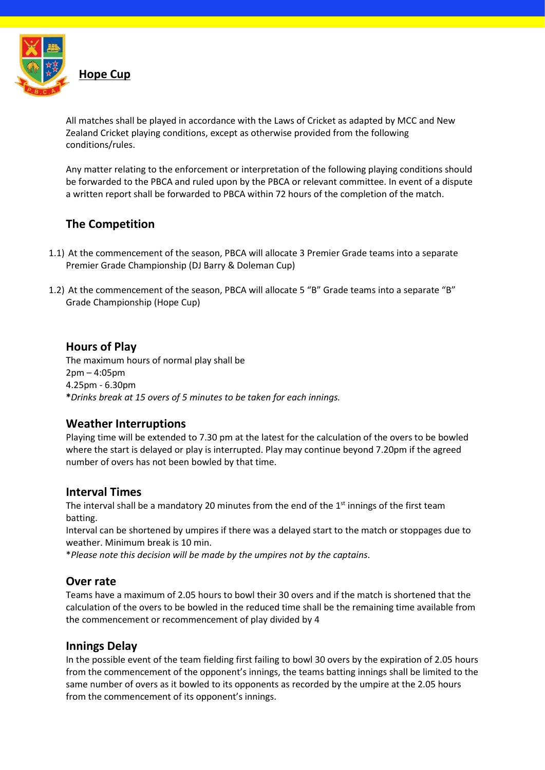

All matches shall be played in accordance with the Laws of Cricket as adapted by MCC and New Zealand Cricket playing conditions, except as otherwise provided from the following conditions/rules.

Any matter relating to the enforcement or interpretation of the following playing conditions should be forwarded to the PBCA and ruled upon by the PBCA or relevant committee. In event of a dispute a written report shall be forwarded to PBCA within 72 hours of the completion of the match.

# **The Competition**

- 1.1) At the commencement of the season, PBCA will allocate 3 Premier Grade teams into a separate Premier Grade Championship (DJ Barry & Doleman Cup)
- 1.2) At the commencement of the season, PBCA will allocate 5 "B" Grade teams into a separate "B" Grade Championship (Hope Cup)

## **Hours of Play**

The maximum hours of normal play shall be 2pm – 4:05pm 4.25pm - 6.30pm **\****Drinks break at 15 overs of 5 minutes to be taken for each innings.*

# **Weather Interruptions**

Playing time will be extended to 7.30 pm at the latest for the calculation of the overs to be bowled where the start is delayed or play is interrupted. Play may continue beyond 7.20pm if the agreed number of overs has not been bowled by that time.

# **Interval Times**

The interval shall be a mandatory 20 minutes from the end of the  $1<sup>st</sup>$  innings of the first team batting.

Interval can be shortened by umpires if there was a delayed start to the match or stoppages due to weather. Minimum break is 10 min.

\**Please note this decision will be made by the umpires not by the captains*.

## **Over rate**

Teams have a maximum of 2.05 hours to bowl their 30 overs and if the match is shortened that the calculation of the overs to be bowled in the reduced time shall be the remaining time available from the commencement or recommencement of play divided by 4

## **Innings Delay**

In the possible event of the team fielding first failing to bowl 30 overs by the expiration of 2.05 hours from the commencement of the opponent's innings, the teams batting innings shall be limited to the same number of overs as it bowled to its opponents as recorded by the umpire at the 2.05 hours from the commencement of its opponent's innings.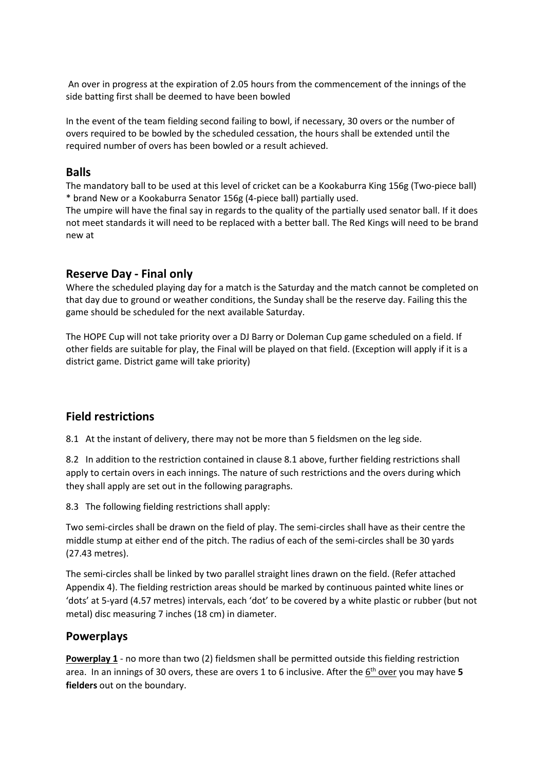An over in progress at the expiration of 2.05 hours from the commencement of the innings of the side batting first shall be deemed to have been bowled

In the event of the team fielding second failing to bowl, if necessary, 30 overs or the number of overs required to be bowled by the scheduled cessation, the hours shall be extended until the required number of overs has been bowled or a result achieved.

## **Balls**

The mandatory ball to be used at this level of cricket can be a Kookaburra King 156g (Two-piece ball) \* brand New or a Kookaburra Senator 156g (4-piece ball) partially used.

The umpire will have the final say in regards to the quality of the partially used senator ball. If it does not meet standards it will need to be replaced with a better ball. The Red Kings will need to be brand new at

#### **Reserve Day - Final only**

Where the scheduled playing day for a match is the Saturday and the match cannot be completed on that day due to ground or weather conditions, the Sunday shall be the reserve day. Failing this the game should be scheduled for the next available Saturday.

The HOPE Cup will not take priority over a DJ Barry or Doleman Cup game scheduled on a field. If other fields are suitable for play, the Final will be played on that field. (Exception will apply if it is a district game. District game will take priority)

## **Field restrictions**

8.1 At the instant of delivery, there may not be more than 5 fieldsmen on the leg side.

8.2 In addition to the restriction contained in clause 8.1 above, further fielding restrictions shall apply to certain overs in each innings. The nature of such restrictions and the overs during which they shall apply are set out in the following paragraphs.

8.3 The following fielding restrictions shall apply:

Two semi-circles shall be drawn on the field of play. The semi-circles shall have as their centre the middle stump at either end of the pitch. The radius of each of the semi-circles shall be 30 yards (27.43 metres).

The semi-circles shall be linked by two parallel straight lines drawn on the field. (Refer attached Appendix 4). The fielding restriction areas should be marked by continuous painted white lines or 'dots' at 5-yard (4.57 metres) intervals, each 'dot' to be covered by a white plastic or rubber (but not metal) disc measuring 7 inches (18 cm) in diameter.

## **Powerplays**

**Powerplay 1** - no more than two (2) fieldsmen shall be permitted outside this fielding restriction area. In an innings of 30 overs, these are overs 1 to 6 inclusive. After the 6<sup>th</sup> over you may have 5 **fielders** out on the boundary.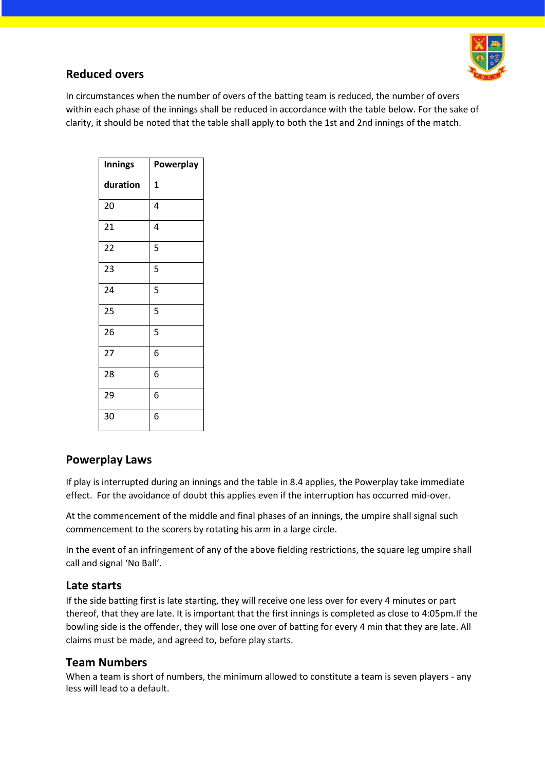

# **Reduced overs**

In circumstances when the number of overs of the batting team is reduced, the number of overs within each phase of the innings shall be reduced in accordance with the table below. For the sake of clarity, it should be noted that the table shall apply to both the 1st and 2nd innings of the match.

| <b>Innings</b> | Powerplay    |
|----------------|--------------|
| duration       | $\mathbf{1}$ |
| 20             | 4            |
| 21             | 4            |
| 22             | 5            |
| 23             | 5            |
| 24             | 5            |
| 25             | 5            |
| 26             | 5            |
| 27             | 6            |
| 28             | 6            |
| 29             | 6            |
| 30             | 6            |

# **Powerplay Laws**

If play is interrupted during an innings and the table in 8.4 applies, the Powerplay take immediate effect. For the avoidance of doubt this applies even if the interruption has occurred mid-over.

At the commencement of the middle and final phases of an innings, the umpire shall signal such commencement to the scorers by rotating his arm in a large circle.

In the event of an infringement of any of the above fielding restrictions, the square leg umpire shall call and signal 'No Ball'.

# **Late starts**

If the side batting first is late starting, they will receive one less over for every 4 minutes or part thereof, that they are late. It is important that the first innings is completed as close to 4:05pm.If the bowling side is the offender, they will lose one over of batting for every 4 min that they are late. All claims must be made, and agreed to, before play starts.

# **Team Numbers**

When a team is short of numbers, the minimum allowed to constitute a team is seven players - any less will lead to a default.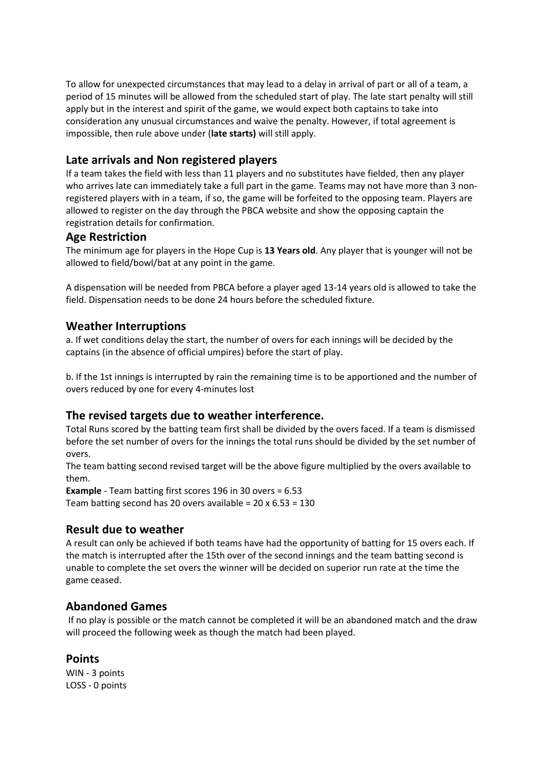To allow for unexpected circumstances that may lead to a delay in arrival of part or all of a team, a period of 15 minutes will be allowed from the scheduled start of play. The late start penalty will still apply but in the interest and spirit of the game, we would expect both captains to take into consideration any unusual circumstances and waive the penalty. However, if total agreement is impossible, then rule above under (**late starts)** will still apply.

# **Late arrivals and Non registered players**

If a team takes the field with less than 11 players and no substitutes have fielded, then any player who arrives late can immediately take a full part in the game. Teams may not have more than 3 nonregistered players with in a team, if so, the game will be forfeited to the opposing team. Players are allowed to register on the day through the PBCA website and show the opposing captain the registration details for confirmation.

#### **Age Restriction**

The minimum age for players in the Hope Cup is **13 Years old**. Any player that is younger will not be allowed to field/bowl/bat at any point in the game.

A dispensation will be needed from PBCA before a player aged 13-14 years old is allowed to take the field. Dispensation needs to be done 24 hours before the scheduled fixture.

## **Weather Interruptions**

a. If wet conditions delay the start, the number of overs for each innings will be decided by the captains (in the absence of official umpires) before the start of play.

b. If the 1st innings is interrupted by rain the remaining time is to be apportioned and the number of overs reduced by one for every 4-minutes lost

## **The revised targets due to weather interference.**

Total Runs scored by the batting team first shall be divided by the overs faced. If a team is dismissed before the set number of overs for the innings the total runs should be divided by the set number of overs.

The team batting second revised target will be the above figure multiplied by the overs available to them.

**Example** - Team batting first scores 196 in 30 overs = 6.53 Team batting second has 20 overs available =  $20 \times 6.53 = 130$ 

## **Result due to weather**

A result can only be achieved if both teams have had the opportunity of batting for 15 overs each. If the match is interrupted after the 15th over of the second innings and the team batting second is unable to complete the set overs the winner will be decided on superior run rate at the time the game ceased.

# **Abandoned Games**

If no play is possible or the match cannot be completed it will be an abandoned match and the draw will proceed the following week as though the match had been played.

## **Points**

WIN - 3 points LOSS - 0 points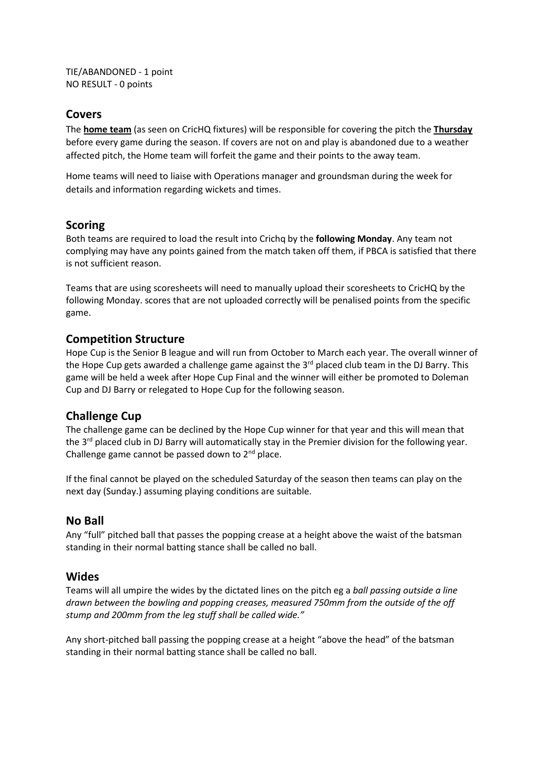TIE/ABANDONED - 1 point NO RESULT - 0 points

#### **Covers**

The **home team** (as seen on CricHQ fixtures) will be responsible for covering the pitch the **Thursday**  before every game during the season. If covers are not on and play is abandoned due to a weather affected pitch, the Home team will forfeit the game and their points to the away team.

Home teams will need to liaise with Operations manager and groundsman during the week for details and information regarding wickets and times.

#### **Scoring**

Both teams are required to load the result into Crichq by the **following Monday**. Any team not complying may have any points gained from the match taken off them, if PBCA is satisfied that there is not sufficient reason.

Teams that are using scoresheets will need to manually upload their scoresheets to CricHQ by the following Monday. scores that are not uploaded correctly will be penalised points from the specific game.

#### **Competition Structure**

Hope Cup is the Senior B league and will run from October to March each year. The overall winner of the Hope Cup gets awarded a challenge game against the 3<sup>rd</sup> placed club team in the DJ Barry. This game will be held a week after Hope Cup Final and the winner will either be promoted to Doleman Cup and DJ Barry or relegated to Hope Cup for the following season.

## **Challenge Cup**

The challenge game can be declined by the Hope Cup winner for that year and this will mean that the 3<sup>rd</sup> placed club in DJ Barry will automatically stay in the Premier division for the following year. Challenge game cannot be passed down to  $2<sup>nd</sup>$  place.

If the final cannot be played on the scheduled Saturday of the season then teams can play on the next day (Sunday.) assuming playing conditions are suitable.

#### **No Ball**

Any "full" pitched ball that passes the popping crease at a height above the waist of the batsman standing in their normal batting stance shall be called no ball.

#### **Wides**

Teams will all umpire the wides by the dictated lines on the pitch eg a *ball passing outside a line drawn between the bowling and popping creases, measured 750mm from the outside of the off stump and 200mm from the leg stuff shall be called wide."*

Any short-pitched ball passing the popping crease at a height "above the head" of the batsman standing in their normal batting stance shall be called no ball.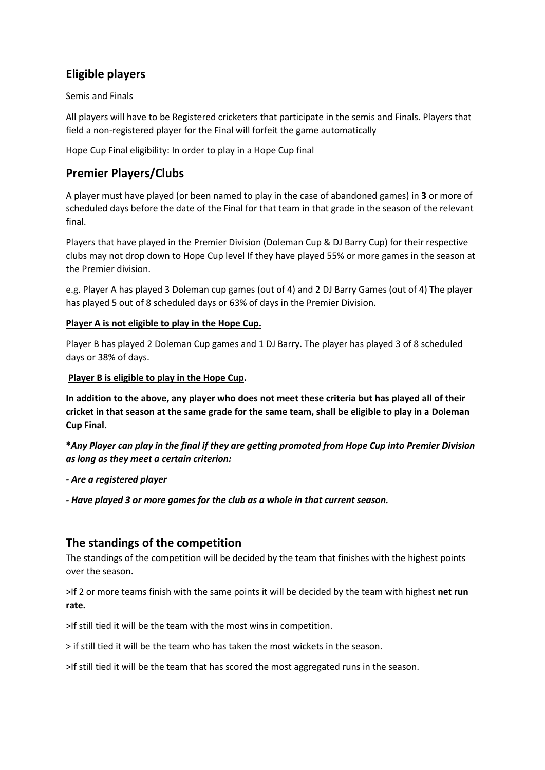# **Eligible players**

Semis and Finals

All players will have to be Registered cricketers that participate in the semis and Finals. Players that field a non-registered player for the Final will forfeit the game automatically

Hope Cup Final eligibility: In order to play in a Hope Cup final

# **Premier Players/Clubs**

A player must have played (or been named to play in the case of abandoned games) in **3** or more of scheduled days before the date of the Final for that team in that grade in the season of the relevant final.

Players that have played in the Premier Division (Doleman Cup & DJ Barry Cup) for their respective clubs may not drop down to Hope Cup level If they have played 55% or more games in the season at the Premier division.

e.g. Player A has played 3 Doleman cup games (out of 4) and 2 DJ Barry Games (out of 4) The player has played 5 out of 8 scheduled days or 63% of days in the Premier Division.

#### **Player A is not eligible to play in the Hope Cup.**

Player B has played 2 Doleman Cup games and 1 DJ Barry. The player has played 3 of 8 scheduled days or 38% of days.

#### **Player B is eligible to play in the Hope Cup.**

**In addition to the above, any player who does not meet these criteria but has played all of their cricket in that season at the same grade for the same team, shall be eligible to play in a Doleman Cup Final.** 

**\****Any Player can play in the final if they are getting promoted from Hope Cup into Premier Division as long as they meet a certain criterion:* 

*- Are a registered player* 

*- Have played 3 or more games for the club as a whole in that current season.* 

# **The standings of the competition**

The standings of the competition will be decided by the team that finishes with the highest points over the season.

>If 2 or more teams finish with the same points it will be decided by the team with highest **net run rate.**

>If still tied it will be the team with the most wins in competition.

> if still tied it will be the team who has taken the most wickets in the season.

>If still tied it will be the team that has scored the most aggregated runs in the season.